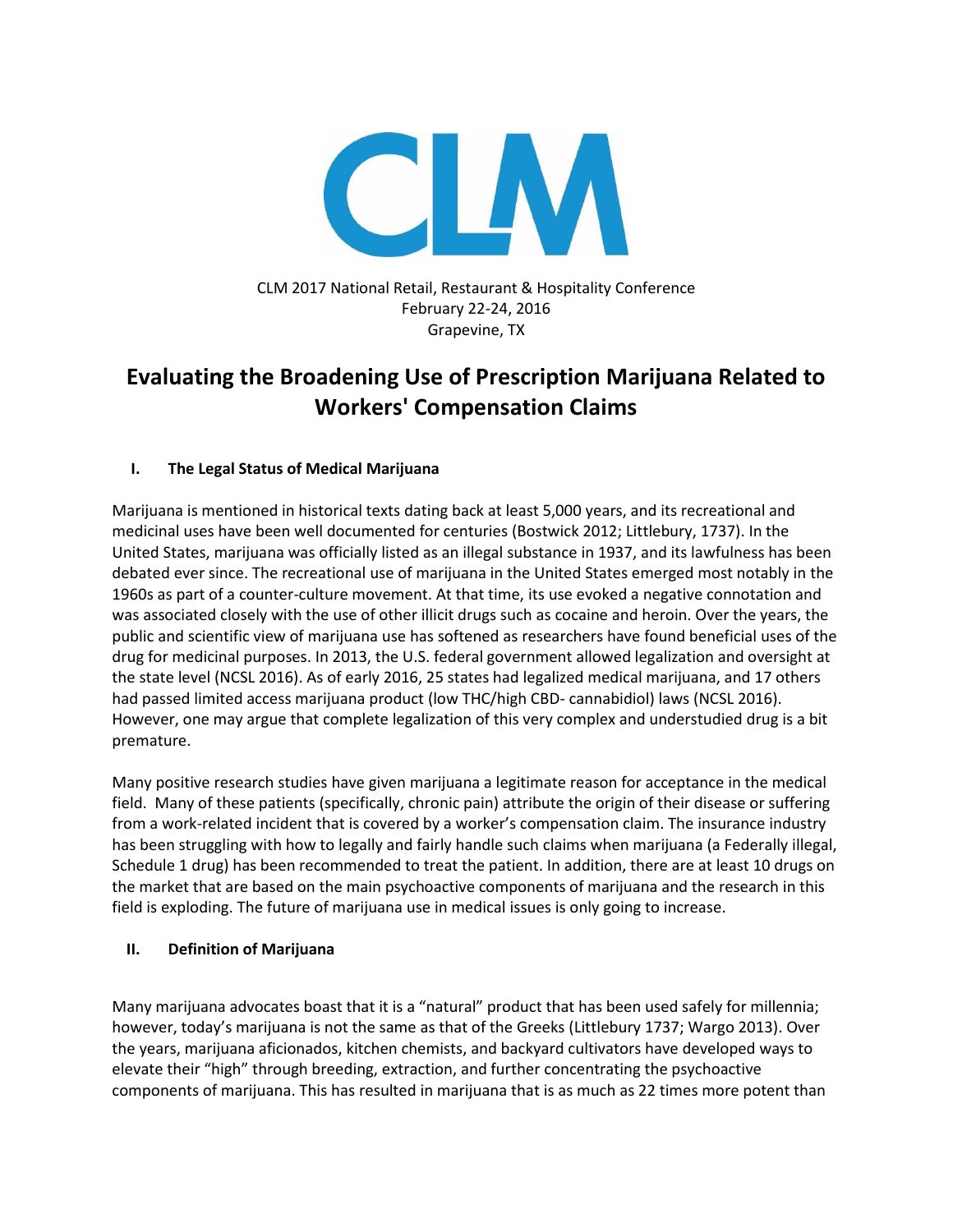

CLM 2017 National Retail, Restaurant & Hospitality Conference February 22-24, 2016 Grapevine, TX

# **Evaluating the Broadening Use of Prescription Marijuana Related to Workers' Compensation Claims**

## **I. The Legal Status of Medical Marijuana**

Marijuana is mentioned in historical texts dating back at least 5,000 years, and its recreational and medicinal uses have been well documented for centuries (Bostwick 2012; Littlebury, 1737). In the United States, marijuana was officially listed as an illegal substance in 1937, and its lawfulness has been debated ever since. The recreational use of marijuana in the United States emerged most notably in the 1960s as part of a counter-culture movement. At that time, its use evoked a negative connotation and was associated closely with the use of other illicit drugs such as cocaine and heroin. Over the years, the public and scientific view of marijuana use has softened as researchers have found beneficial uses of the drug for medicinal purposes. In 2013, the U.S. federal government allowed legalization and oversight at the state level (NCSL 2016). As of early 2016, 25 states had legalized medical marijuana, and 17 others had passed limited access marijuana product (low THC/high CBD- cannabidiol) laws (NCSL 2016). However, one may argue that complete legalization of this very complex and understudied drug is a bit premature.

Many positive research studies have given marijuana a legitimate reason for acceptance in the medical field. Many of these patients (specifically, chronic pain) attribute the origin of their disease or suffering from a work-related incident that is covered by a worker's compensation claim. The insurance industry has been struggling with how to legally and fairly handle such claims when marijuana (a Federally illegal, Schedule 1 drug) has been recommended to treat the patient. In addition, there are at least 10 drugs on the market that are based on the main psychoactive components of marijuana and the research in this field is exploding. The future of marijuana use in medical issues is only going to increase.

## **II. Definition of Marijuana**

Many marijuana advocates boast that it is a "natural" product that has been used safely for millennia; however, today's marijuana is not the same as that of the Greeks (Littlebury 1737; Wargo 2013). Over the years, marijuana aficionados, kitchen chemists, and backyard cultivators have developed ways to elevate their "high" through breeding, extraction, and further concentrating the psychoactive components of marijuana. This has resulted in marijuana that is as much as 22 times more potent than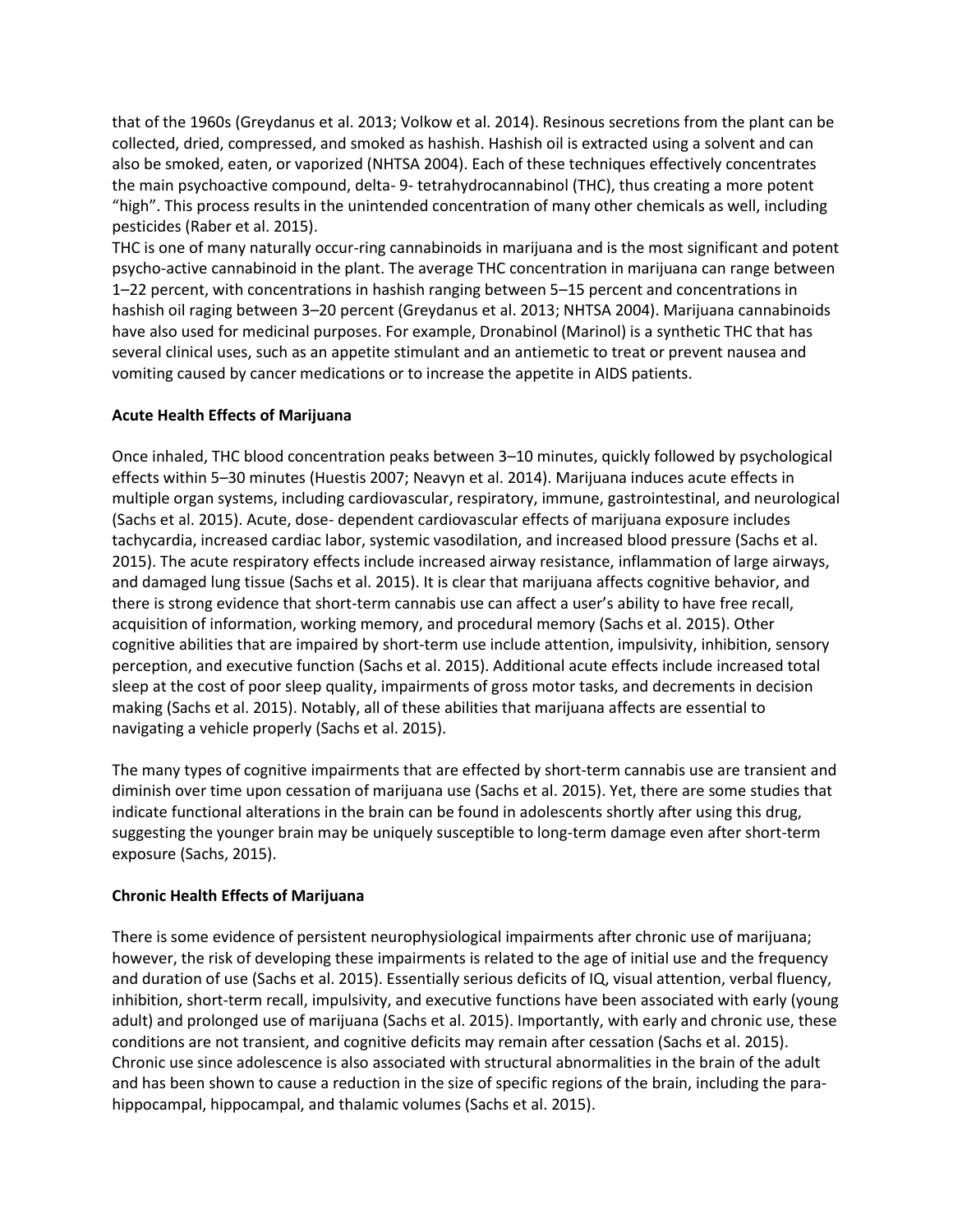that of the 1960s (Greydanus et al. 2013; Volkow et al. 2014). Resinous secretions from the plant can be collected, dried, compressed, and smoked as hashish. Hashish oil is extracted using a solvent and can also be smoked, eaten, or vaporized (NHTSA 2004). Each of these techniques effectively concentrates the main psychoactive compound, delta- 9- tetrahydrocannabinol (THC), thus creating a more potent "high". This process results in the unintended concentration of many other chemicals as well, including pesticides (Raber et al. 2015).

THC is one of many naturally occur-ring cannabinoids in marijuana and is the most significant and potent psycho-active cannabinoid in the plant. The average THC concentration in marijuana can range between 1–22 percent, with concentrations in hashish ranging between 5–15 percent and concentrations in hashish oil raging between 3–20 percent (Greydanus et al. 2013; NHTSA 2004). Marijuana cannabinoids have also used for medicinal purposes. For example, Dronabinol (Marinol) is a synthetic THC that has several clinical uses, such as an appetite stimulant and an antiemetic to treat or prevent nausea and vomiting caused by cancer medications or to increase the appetite in AIDS patients.

## **Acute Health Effects of Marijuana**

Once inhaled, THC blood concentration peaks between 3–10 minutes, quickly followed by psychological effects within 5–30 minutes (Huestis 2007; Neavyn et al. 2014). Marijuana induces acute effects in multiple organ systems, including cardiovascular, respiratory, immune, gastrointestinal, and neurological (Sachs et al. 2015). Acute, dose- dependent cardiovascular effects of marijuana exposure includes tachycardia, increased cardiac labor, systemic vasodilation, and increased blood pressure (Sachs et al. 2015). The acute respiratory effects include increased airway resistance, inflammation of large airways, and damaged lung tissue (Sachs et al. 2015). It is clear that marijuana affects cognitive behavior, and there is strong evidence that short-term cannabis use can affect a user's ability to have free recall, acquisition of information, working memory, and procedural memory (Sachs et al. 2015). Other cognitive abilities that are impaired by short-term use include attention, impulsivity, inhibition, sensory perception, and executive function (Sachs et al. 2015). Additional acute effects include increased total sleep at the cost of poor sleep quality, impairments of gross motor tasks, and decrements in decision making (Sachs et al. 2015). Notably, all of these abilities that marijuana affects are essential to navigating a vehicle properly (Sachs et al. 2015).

The many types of cognitive impairments that are effected by short-term cannabis use are transient and diminish over time upon cessation of marijuana use (Sachs et al. 2015). Yet, there are some studies that indicate functional alterations in the brain can be found in adolescents shortly after using this drug, suggesting the younger brain may be uniquely susceptible to long-term damage even after short-term exposure (Sachs, 2015).

## **Chronic Health Effects of Marijuana**

There is some evidence of persistent neurophysiological impairments after chronic use of marijuana; however, the risk of developing these impairments is related to the age of initial use and the frequency and duration of use (Sachs et al. 2015). Essentially serious deficits of IQ, visual attention, verbal fluency, inhibition, short-term recall, impulsivity, and executive functions have been associated with early (young adult) and prolonged use of marijuana (Sachs et al. 2015). Importantly, with early and chronic use, these conditions are not transient, and cognitive deficits may remain after cessation (Sachs et al. 2015). Chronic use since adolescence is also associated with structural abnormalities in the brain of the adult and has been shown to cause a reduction in the size of specific regions of the brain, including the parahippocampal, hippocampal, and thalamic volumes (Sachs et al. 2015).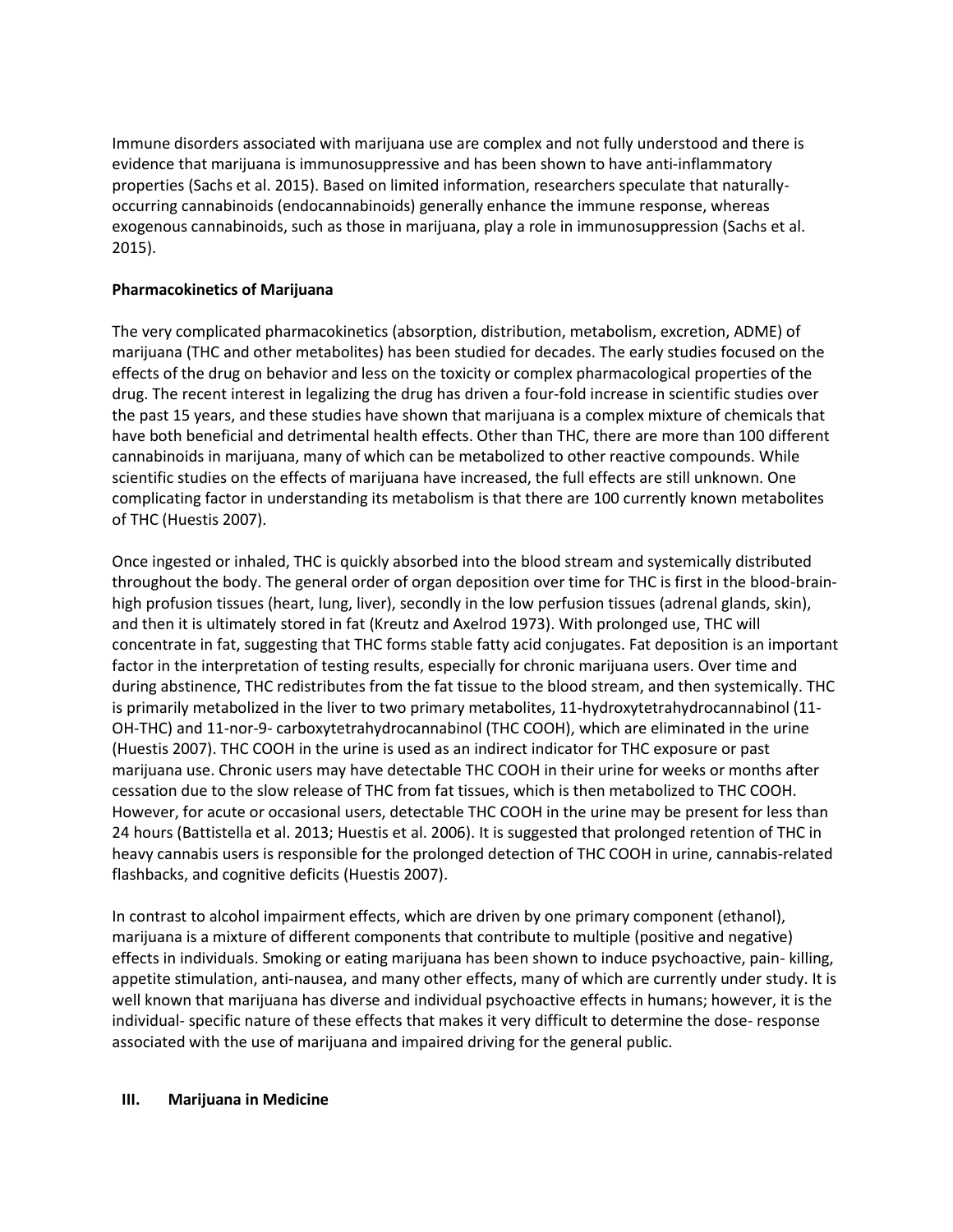Immune disorders associated with marijuana use are complex and not fully understood and there is evidence that marijuana is immunosuppressive and has been shown to have anti-inflammatory properties (Sachs et al. 2015). Based on limited information, researchers speculate that naturallyoccurring cannabinoids (endocannabinoids) generally enhance the immune response, whereas exogenous cannabinoids, such as those in marijuana, play a role in immunosuppression (Sachs et al. 2015).

## **Pharmacokinetics of Marijuana**

The very complicated pharmacokinetics (absorption, distribution, metabolism, excretion, ADME) of marijuana (THC and other metabolites) has been studied for decades. The early studies focused on the effects of the drug on behavior and less on the toxicity or complex pharmacological properties of the drug. The recent interest in legalizing the drug has driven a four-fold increase in scientific studies over the past 15 years, and these studies have shown that marijuana is a complex mixture of chemicals that have both beneficial and detrimental health effects. Other than THC, there are more than 100 different cannabinoids in marijuana, many of which can be metabolized to other reactive compounds. While scientific studies on the effects of marijuana have increased, the full effects are still unknown. One complicating factor in understanding its metabolism is that there are 100 currently known metabolites of THC (Huestis 2007).

Once ingested or inhaled, THC is quickly absorbed into the blood stream and systemically distributed throughout the body. The general order of organ deposition over time for THC is first in the blood-brainhigh profusion tissues (heart, lung, liver), secondly in the low perfusion tissues (adrenal glands, skin), and then it is ultimately stored in fat (Kreutz and Axelrod 1973). With prolonged use, THC will concentrate in fat, suggesting that THC forms stable fatty acid conjugates. Fat deposition is an important factor in the interpretation of testing results, especially for chronic marijuana users. Over time and during abstinence, THC redistributes from the fat tissue to the blood stream, and then systemically. THC is primarily metabolized in the liver to two primary metabolites, 11-hydroxytetrahydrocannabinol (11- OH-THC) and 11-nor-9- carboxytetrahydrocannabinol (THC COOH), which are eliminated in the urine (Huestis 2007). THC COOH in the urine is used as an indirect indicator for THC exposure or past marijuana use. Chronic users may have detectable THC COOH in their urine for weeks or months after cessation due to the slow release of THC from fat tissues, which is then metabolized to THC COOH. However, for acute or occasional users, detectable THC COOH in the urine may be present for less than 24 hours (Battistella et al. 2013; Huestis et al. 2006). It is suggested that prolonged retention of THC in heavy cannabis users is responsible for the prolonged detection of THC COOH in urine, cannabis-related flashbacks, and cognitive deficits (Huestis 2007).

In contrast to alcohol impairment effects, which are driven by one primary component (ethanol), marijuana is a mixture of different components that contribute to multiple (positive and negative) effects in individuals. Smoking or eating marijuana has been shown to induce psychoactive, pain- killing, appetite stimulation, anti-nausea, and many other effects, many of which are currently under study. It is well known that marijuana has diverse and individual psychoactive effects in humans; however, it is the individual- specific nature of these effects that makes it very difficult to determine the dose- response associated with the use of marijuana and impaired driving for the general public.

## **III. Marijuana in Medicine**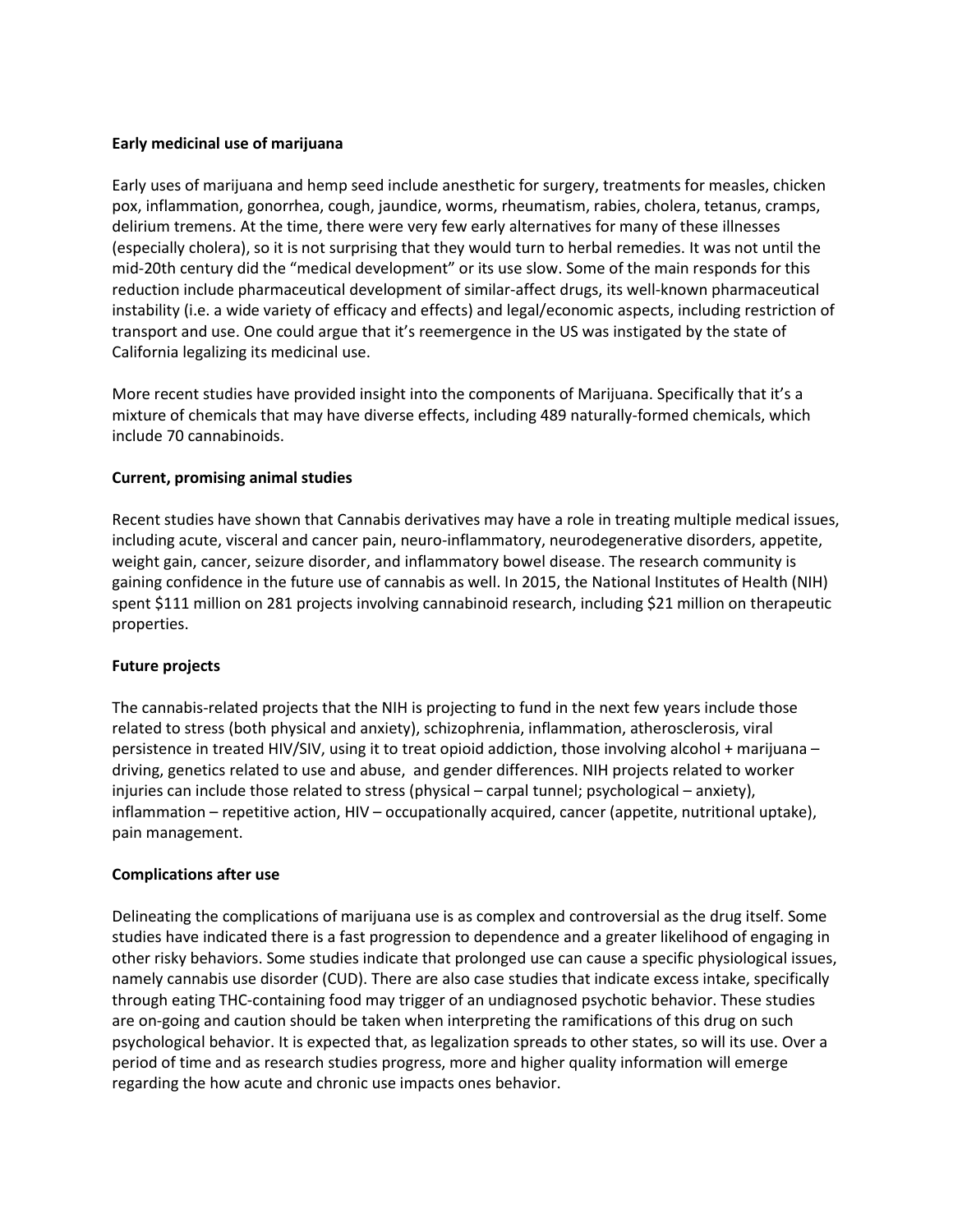## **Early medicinal use of marijuana**

Early uses of marijuana and hemp seed include anesthetic for surgery, treatments for measles, chicken pox, inflammation, gonorrhea, cough, jaundice, worms, rheumatism, rabies, cholera, tetanus, cramps, delirium tremens. At the time, there were very few early alternatives for many of these illnesses (especially cholera), so it is not surprising that they would turn to herbal remedies. It was not until the mid-20th century did the "medical development" or its use slow. Some of the main responds for this reduction include pharmaceutical development of similar-affect drugs, its well-known pharmaceutical instability (i.e. a wide variety of efficacy and effects) and legal/economic aspects, including restriction of transport and use. One could argue that it's reemergence in the US was instigated by the state of California legalizing its medicinal use.

More recent studies have provided insight into the components of Marijuana. Specifically that it's a mixture of chemicals that may have diverse effects, including 489 naturally-formed chemicals, which include 70 cannabinoids.

## **Current, promising animal studies**

Recent studies have shown that Cannabis derivatives may have a role in treating multiple medical issues, including acute, visceral and cancer pain, neuro-inflammatory, neurodegenerative disorders, appetite, weight gain, cancer, seizure disorder, and inflammatory bowel disease. The research community is gaining confidence in the future use of cannabis as well. In 2015, the National Institutes of Health (NIH) spent \$111 million on 281 projects involving cannabinoid research, including \$21 million on therapeutic properties.

## **Future projects**

The cannabis-related projects that the NIH is projecting to fund in the next few years include those related to stress (both physical and anxiety), schizophrenia, inflammation, atherosclerosis, viral persistence in treated HIV/SIV, using it to treat opioid addiction, those involving alcohol + marijuana – driving, genetics related to use and abuse, and gender differences. NIH projects related to worker injuries can include those related to stress (physical – carpal tunnel; psychological – anxiety), inflammation – repetitive action, HIV – occupationally acquired, cancer (appetite, nutritional uptake), pain management.

## **Complications after use**

Delineating the complications of marijuana use is as complex and controversial as the drug itself. Some studies have indicated there is a fast progression to dependence and a greater likelihood of engaging in other risky behaviors. Some studies indicate that prolonged use can cause a specific physiological issues, namely cannabis use disorder (CUD). There are also case studies that indicate excess intake, specifically through eating THC-containing food may trigger of an undiagnosed psychotic behavior. These studies are on-going and caution should be taken when interpreting the ramifications of this drug on such psychological behavior. It is expected that, as legalization spreads to other states, so will its use. Over a period of time and as research studies progress, more and higher quality information will emerge regarding the how acute and chronic use impacts ones behavior.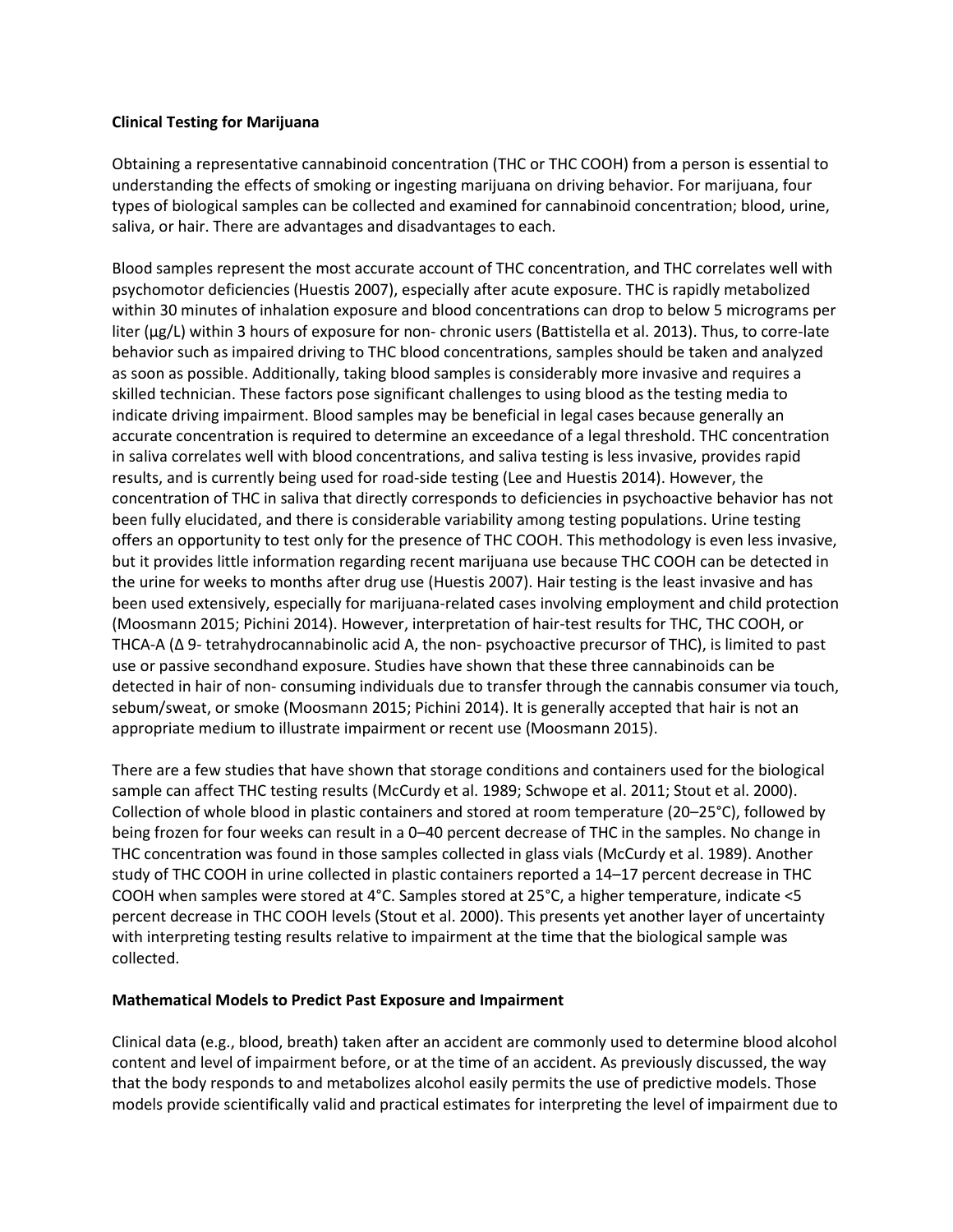## **Clinical Testing for Marijuana**

Obtaining a representative cannabinoid concentration (THC or THC COOH) from a person is essential to understanding the effects of smoking or ingesting marijuana on driving behavior. For marijuana, four types of biological samples can be collected and examined for cannabinoid concentration; blood, urine, saliva, or hair. There are advantages and disadvantages to each.

Blood samples represent the most accurate account of THC concentration, and THC correlates well with psychomotor deficiencies (Huestis 2007), especially after acute exposure. THC is rapidly metabolized within 30 minutes of inhalation exposure and blood concentrations can drop to below 5 micrograms per liter (µg/L) within 3 hours of exposure for non- chronic users (Battistella et al. 2013). Thus, to corre-late behavior such as impaired driving to THC blood concentrations, samples should be taken and analyzed as soon as possible. Additionally, taking blood samples is considerably more invasive and requires a skilled technician. These factors pose significant challenges to using blood as the testing media to indicate driving impairment. Blood samples may be beneficial in legal cases because generally an accurate concentration is required to determine an exceedance of a legal threshold. THC concentration in saliva correlates well with blood concentrations, and saliva testing is less invasive, provides rapid results, and is currently being used for road-side testing (Lee and Huestis 2014). However, the concentration of THC in saliva that directly corresponds to deficiencies in psychoactive behavior has not been fully elucidated, and there is considerable variability among testing populations. Urine testing offers an opportunity to test only for the presence of THC COOH. This methodology is even less invasive, but it provides little information regarding recent marijuana use because THC COOH can be detected in the urine for weeks to months after drug use (Huestis 2007). Hair testing is the least invasive and has been used extensively, especially for marijuana-related cases involving employment and child protection (Moosmann 2015; Pichini 2014). However, interpretation of hair-test results for THC, THC COOH, or THCA-A (Δ 9- tetrahydrocannabinolic acid A, the non- psychoactive precursor of THC), is limited to past use or passive secondhand exposure. Studies have shown that these three cannabinoids can be detected in hair of non- consuming individuals due to transfer through the cannabis consumer via touch, sebum/sweat, or smoke (Moosmann 2015; Pichini 2014). It is generally accepted that hair is not an appropriate medium to illustrate impairment or recent use (Moosmann 2015).

There are a few studies that have shown that storage conditions and containers used for the biological sample can affect THC testing results (McCurdy et al. 1989; Schwope et al. 2011; Stout et al. 2000). Collection of whole blood in plastic containers and stored at room temperature (20–25°C), followed by being frozen for four weeks can result in a 0–40 percent decrease of THC in the samples. No change in THC concentration was found in those samples collected in glass vials (McCurdy et al. 1989). Another study of THC COOH in urine collected in plastic containers reported a 14–17 percent decrease in THC COOH when samples were stored at 4°C. Samples stored at 25°C, a higher temperature, indicate <5 percent decrease in THC COOH levels (Stout et al. 2000). This presents yet another layer of uncertainty with interpreting testing results relative to impairment at the time that the biological sample was collected.

## **Mathematical Models to Predict Past Exposure and Impairment**

Clinical data (e.g., blood, breath) taken after an accident are commonly used to determine blood alcohol content and level of impairment before, or at the time of an accident. As previously discussed, the way that the body responds to and metabolizes alcohol easily permits the use of predictive models. Those models provide scientifically valid and practical estimates for interpreting the level of impairment due to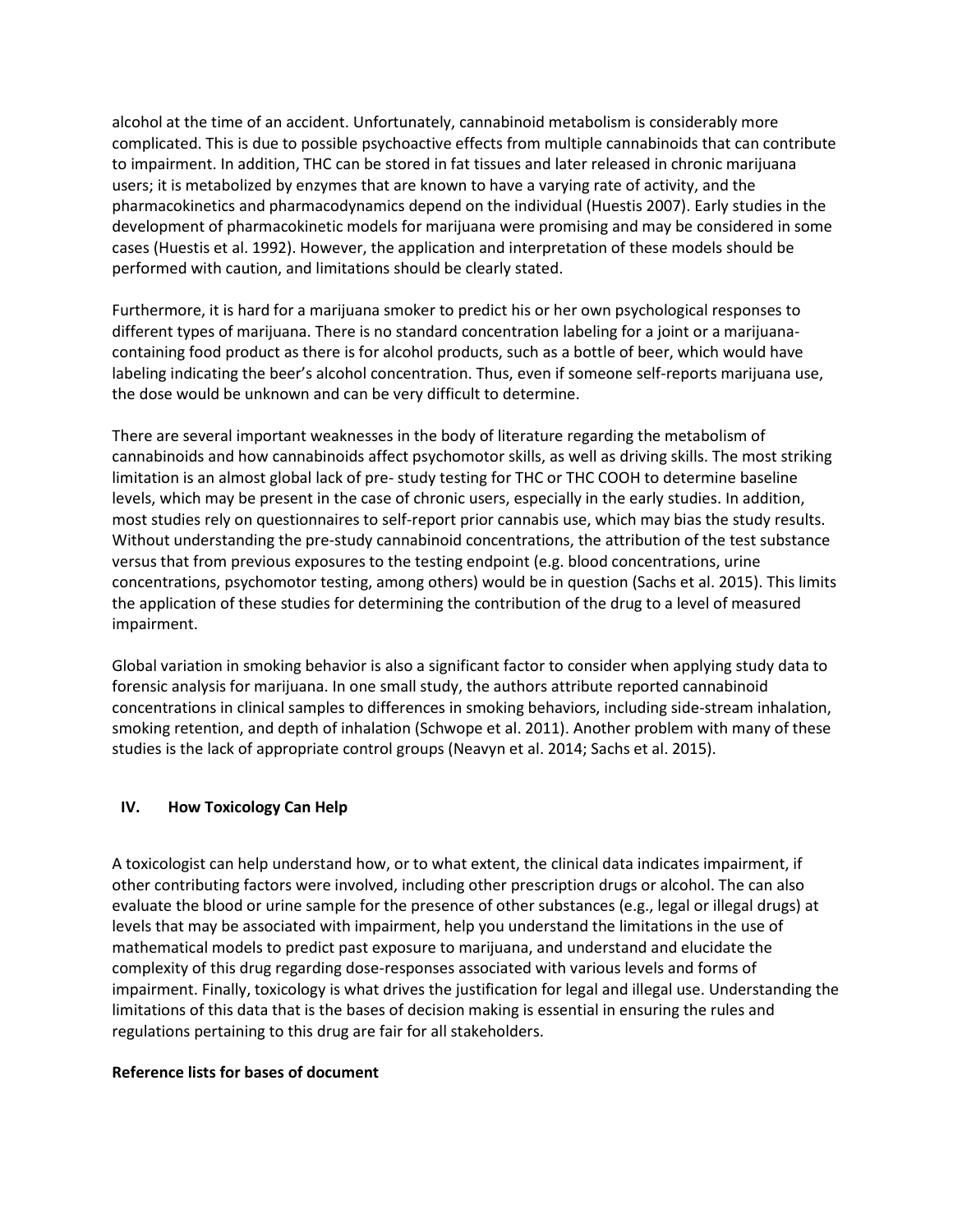alcohol at the time of an accident. Unfortunately, cannabinoid metabolism is considerably more complicated. This is due to possible psychoactive effects from multiple cannabinoids that can contribute to impairment. In addition, THC can be stored in fat tissues and later released in chronic marijuana users; it is metabolized by enzymes that are known to have a varying rate of activity, and the pharmacokinetics and pharmacodynamics depend on the individual (Huestis 2007). Early studies in the development of pharmacokinetic models for marijuana were promising and may be considered in some cases (Huestis et al. 1992). However, the application and interpretation of these models should be performed with caution, and limitations should be clearly stated.

Furthermore, it is hard for a marijuana smoker to predict his or her own psychological responses to different types of marijuana. There is no standard concentration labeling for a joint or a marijuanacontaining food product as there is for alcohol products, such as a bottle of beer, which would have labeling indicating the beer's alcohol concentration. Thus, even if someone self-reports marijuana use, the dose would be unknown and can be very difficult to determine.

There are several important weaknesses in the body of literature regarding the metabolism of cannabinoids and how cannabinoids affect psychomotor skills, as well as driving skills. The most striking limitation is an almost global lack of pre- study testing for THC or THC COOH to determine baseline levels, which may be present in the case of chronic users, especially in the early studies. In addition, most studies rely on questionnaires to self-report prior cannabis use, which may bias the study results. Without understanding the pre-study cannabinoid concentrations, the attribution of the test substance versus that from previous exposures to the testing endpoint (e.g. blood concentrations, urine concentrations, psychomotor testing, among others) would be in question (Sachs et al. 2015). This limits the application of these studies for determining the contribution of the drug to a level of measured impairment.

Global variation in smoking behavior is also a significant factor to consider when applying study data to forensic analysis for marijuana. In one small study, the authors attribute reported cannabinoid concentrations in clinical samples to differences in smoking behaviors, including side-stream inhalation, smoking retention, and depth of inhalation (Schwope et al. 2011). Another problem with many of these studies is the lack of appropriate control groups (Neavyn et al. 2014; Sachs et al. 2015).

## **IV. How Toxicology Can Help**

A toxicologist can help understand how, or to what extent, the clinical data indicates impairment, if other contributing factors were involved, including other prescription drugs or alcohol. The can also evaluate the blood or urine sample for the presence of other substances (e.g., legal or illegal drugs) at levels that may be associated with impairment, help you understand the limitations in the use of mathematical models to predict past exposure to marijuana, and understand and elucidate the complexity of this drug regarding dose-responses associated with various levels and forms of impairment. Finally, toxicology is what drives the justification for legal and illegal use. Understanding the limitations of this data that is the bases of decision making is essential in ensuring the rules and regulations pertaining to this drug are fair for all stakeholders.

#### **Reference lists for bases of document**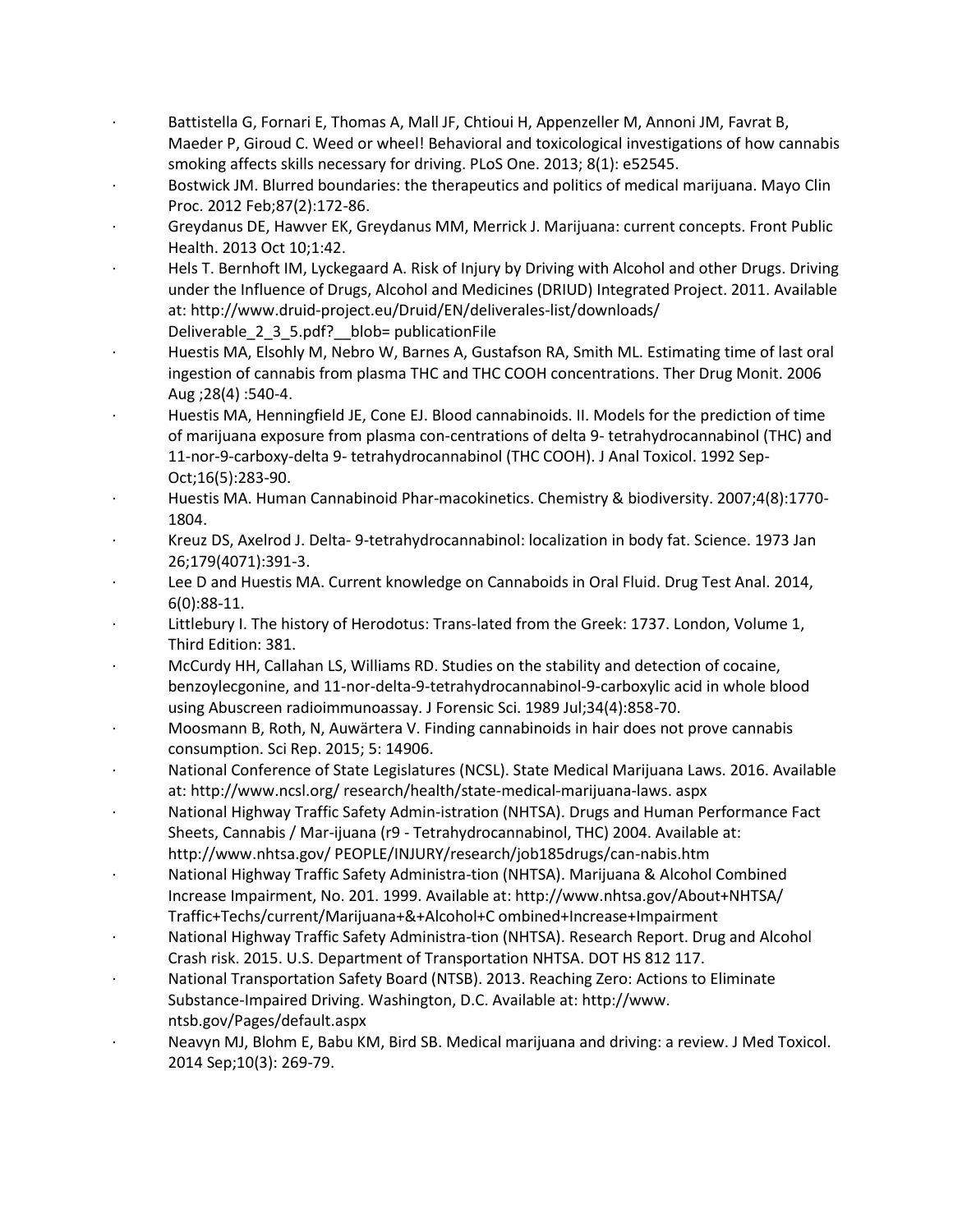- Battistella G, Fornari E, Thomas A, Mall JF, Chtioui H, Appenzeller M, Annoni JM, Favrat B, Maeder P, Giroud C. Weed or wheel! Behavioral and toxicological investigations of how cannabis smoking affects skills necessary for driving. PLoS One. 2013; 8(1): e52545.
- Bostwick JM. Blurred boundaries: the therapeutics and politics of medical marijuana. Mayo Clin Proc. 2012 Feb;87(2):172-86.
- · Greydanus DE, Hawver EK, Greydanus MM, Merrick J. Marijuana: current concepts. Front Public Health. 2013 Oct 10;1:42.
- Hels T. Bernhoft IM, Lyckegaard A. Risk of Injury by Driving with Alcohol and other Drugs. Driving under the Influence of Drugs, Alcohol and Medicines (DRIUD) Integrated Project. 2011. Available at: http://www.druid-project.eu/Druid/EN/deliverales-list/downloads/ Deliverable 2 3 5.pdf? blob= publicationFile
- · Huestis MA, Elsohly M, Nebro W, Barnes A, Gustafson RA, Smith ML. Estimating time of last oral ingestion of cannabis from plasma THC and THC COOH concentrations. Ther Drug Monit. 2006
- Aug ;28(4) :540-4. · Huestis MA, Henningfield JE, Cone EJ. Blood cannabinoids. II. Models for the prediction of time
	- of marijuana exposure from plasma con-centrations of delta 9- tetrahydrocannabinol (THC) and 11-nor-9-carboxy-delta 9- tetrahydrocannabinol (THC COOH). J Anal Toxicol. 1992 Sep-Oct;16(5):283-90.
	- · Huestis MA. Human Cannabinoid Phar-macokinetics. Chemistry & biodiversity. 2007;4(8):1770- 1804.
	- · Kreuz DS, Axelrod J. Delta- 9-tetrahydrocannabinol: localization in body fat. Science. 1973 Jan 26;179(4071):391-3.
	- Lee D and Huestis MA. Current knowledge on Cannaboids in Oral Fluid. Drug Test Anal. 2014, 6(0):88-11.
	- Littlebury I. The history of Herodotus: Trans-lated from the Greek: 1737. London, Volume 1, Third Edition: 381.
	- · McCurdy HH, Callahan LS, Williams RD. Studies on the stability and detection of cocaine, benzoylecgonine, and 11-nor-delta-9-tetrahydrocannabinol-9-carboxylic acid in whole blood using Abuscreen radioimmunoassay. J Forensic Sci. 1989 Jul;34(4):858-70.
	- · Moosmann B, Roth, N, Auwärtera V. Finding cannabinoids in hair does not prove cannabis consumption. Sci Rep. 2015; 5: 14906.
	- · National Conference of State Legislatures (NCSL). State Medical Marijuana Laws. 2016. Available at: http://www.ncsl.org/ research/health/state-medical-marijuana-laws. aspx
	- · National Highway Traffic Safety Admin-istration (NHTSA). Drugs and Human Performance Fact Sheets, Cannabis / Mar-ijuana (r9 - Tetrahydrocannabinol, THC) 2004. Available at: http://www.nhtsa.gov/ PEOPLE/INJURY/research/job185drugs/can-nabis.htm
	- · National Highway Traffic Safety Administra-tion (NHTSA). Marijuana & Alcohol Combined Increase Impairment, No. 201. 1999. Available at: http://www.nhtsa.gov/About+NHTSA/ Traffic+Techs/current/Marijuana+&+Alcohol+C ombined+Increase+Impairment
	- · National Highway Traffic Safety Administra-tion (NHTSA). Research Report. Drug and Alcohol Crash risk. 2015. U.S. Department of Transportation NHTSA. DOT HS 812 117.
	- · National Transportation Safety Board (NTSB). 2013. Reaching Zero: Actions to Eliminate Substance-Impaired Driving. Washington, D.C. Available at: http://www. ntsb.gov/Pages/default.aspx
	- · Neavyn MJ, Blohm E, Babu KM, Bird SB. Medical marijuana and driving: a review. J Med Toxicol. 2014 Sep;10(3): 269-79.